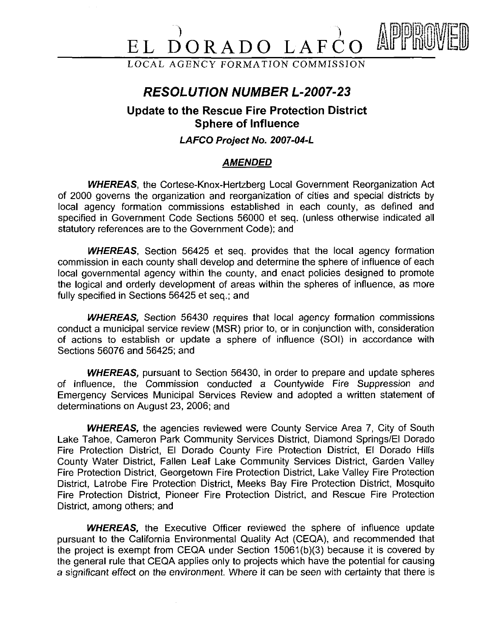# $\overrightarrow{D}$ ORADO LAF

LOCAL AGENCY FORMATION COMMISSION

## **RESOLUTION NUMBER L-2007-23**

### **Update to the Rescue Fire Protection District Sphere of Influence**

#### **LAFCO Project No. 2007-04-L**

#### **AMENDED**

**WHEREAS,** the Cortese-Knox-Hertzberg Local Government Reorganization Act of 2000 governs the organization and reorganization of cities and special districts by local agency formation commissions established in each county, as defined and specified in Government Code Sections 56000 et seq. (unless otherwise indicated all statutory references are to the Government Code); and

**WHEREAS,** Section 56425 et seq. provides that the local agency formation commission in each county shall develop and determine the sphere of influence of each local governmental agency within the county, and enact policies designed to promote the logical and orderly development of areas within the spheres of influence, as more fully specified in Sections 56425 et seq.; and

**WHEREAS,** Section 56430 requires that local agency formation commissions conduct a municipal service review (MSR) prior to, or in conjunction with, consideration of actions to establish or update a sphere of influence (SOI) in accordance with Sections 56076 and 56425: and

**WHEREAS,** pursuant to Section 56430, in order to prepare and update spheres of influence, the Commission conducted a Countywide Fire Suppression and Emergency Services Municipal Services Review and adopted a written statement of determinations on August 23, 2006; and

**WHEREAS,** the agencies reviewed were County Service Area 7, City of South Lake Tahoe, Cameron Park Community Services District, Diamond Springs/El Dorado Fire Protection District, El Dorado County Fire Protection District, El Dorado Hills County Water District, Fallen Leaf Lake Community Services District, Garden Valley Fire Protection District, Georgetown Fire Protection District, Lake Valley Fire Protection District, Latrobe Fire Protection District, Meeks Bay Fire Protection District, Mosquito Fire Protection District, Pioneer Fire Protection District, and Rescue Fire Protection District, among others; and

**WHEREAS,** the Executive Officer reviewed the sphere of influence update pursuant to the California Environmental Quality Act (CEQA), and recommended that the project is exempt from CEQA under Section 15061(b)(3) because it is covered by the general rule that CEQA applies only to projects which have the potential for causing a significant effect on the environment. Where it can be seen with certainty that there is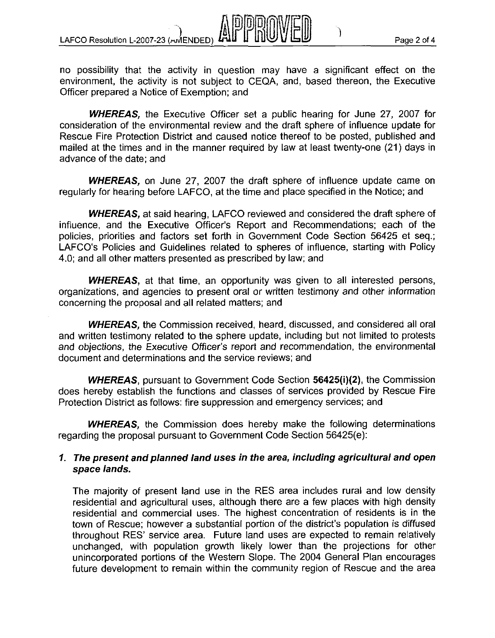LAFCO Resolution L-2007-23 ( $m/$ ENDED) AND HUUU VILHUU

no possibility that the activity in question may have a significant effect on the environment, the activity is not subject to CEQA, and, based thereon, the Executive Officer prepared a Notice of Exemption; and

**WHEREAS,** the Executive Officer set a public hearing for June 27, 2007 for consideration of the environmental review and the draft sphere of influence update for Rescue Fire Protection District and caused notice thereof to be posted, published and mailed at the times and in the manner required by law at least twenty-one (21) days in advance of the date; and

**WHEREAS,** on June 27, 2007 the draft sphere of influence update came on regularly for hearing before LAFCO, at the time and place specified in the Notice; and

**WHEREAS,** at said hearing, LAFCO reviewed and considered the draft sphere of influence, and the Executive Officer's Report and Recommendations; each of the policies, priorities and factors set forth in Government Code Section 56425 et seq.; LAFCO's Policies and Guidelines related to spheres of influence, starting with Policy 4.0; and all other matters presented as prescribed by law; and

**WHEREAS,** at that time, an opportunity was given to all interested persons, organizations, and agencies to present oral or written testimony and other information concerning the proposal and all related matters; and

**WHEREAS,** the Commission received, heard, discussed, and considered all oral and written testimony related to the sphere update, including but not limited to protests and objections, the Executive Officer's report and recommendation, the environmental document and determinations and the service reviews; and

**WHEREAS,** pursuant to Government Code Section 56425(i)(2), the Commission does hereby establish the functions and classes of services provided by Rescue Fire Protection District as follows: fire suppression and emergency services; and

**WHEREAS,** the Commission does hereby make the following determinations regarding the proposal pursuant to Government Code Section 56425(e):

#### **1 The present and planned land uses in the area, including agricultural and open space lands.**

The majority of present land use in the RES area includes rural and low density residential and agricultural uses, although there are a few places with high density residential and commercial uses. The highest concentration of residents is in the town of Rescue; however a substantial portion of the district's population is diffused throughout RES' service area. Future land uses are expected to remain relatively unchanged, with population growth likely lower than the projections for other unincorporated portions of the Western Slope. The 2004 General Plan encourages future development to remain within the community region of Rescue and the area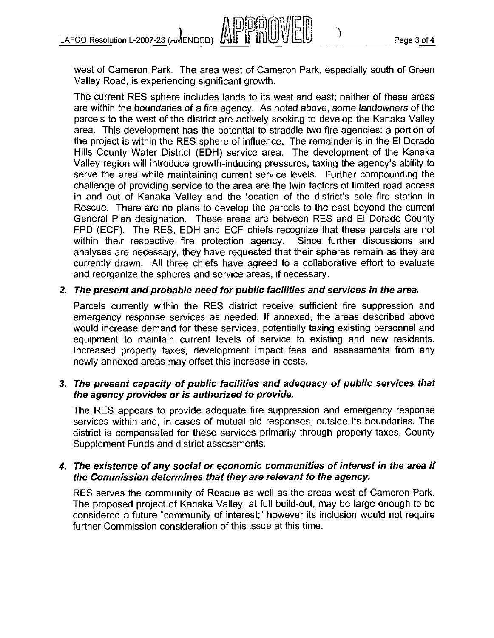

west of Cameron Park. The area west of Cameron Park, especially south of Green Valley Road, is experiencing significant growth.

The current RES sphere includes lands to its west and east; neither of these areas are within the boundaries of a fire agency. As noted above, some landowners of the parcels to the west of the district are actively seeking to develop the Kanaka Valley area. This development has the potential to straddle two fire agencies: a portion of the project is within the RES sphere of influence. The remainder is in the El Dorado Hills County Water District (EDH) service area. The development of the Kanaka Valley region will introduce growth-inducing pressures, taxing the agency's ability to serve the area while maintaining current service levels. Further compounding the challenge of providing service to the area are the twin factors of limited road access in and out of Kanaka Valley and the location of the district's sole fire station in Rescue. There are no plans to develop the parcels to the east beyond the current General Plan designation. These areas are between RES and El Dorado County FPD (ECF). The RES, EDH and ECF chiefs recognize that these parcels are not within their respective fire protection agency. Since further discussions and within their respective fire protection agency. analyses are necessary, they have requested that their spheres remain as they are currently drawn. All three chiefs have agreed to a collaborative effort to evaluate and reorganize the spheres and service areas, if necessary.

#### **2. The present and probable need for public facilities and services in the area.**

Parcels currently within the RES district receive sufficient fire suppression and emergency response services as needed. If annexed, the areas described above would increase demand for these services, potentially taxing existing personnel and equipment to maintain current levels of service to existing and new residents. Increased property taxes, development impact fees and assessments from any newly-annexed areas may offset this increase in costs.

#### **3. The present capacity of public facilities and adequacy of public services that the agency provides or is authorized to provide.**

The RES appears to provide adequate fire suppression and emergency response services within and, in cases of mutual aid responses, outside its boundaries. The district is compensated for these services primarily through property taxes, County Supplement Funds and district assessments.

#### **4. The existence of any social or economic communities of interest in the area if the Commission determines that they are relevant to the agency.**

RES serves the community of Rescue as well as the areas west of Cameron Park. The proposed project of Kanaka Valley, at full build-out, may be large enough to be considered a future "community of interest;" however its inclusion would not require further Commission consideration of this issue at this time.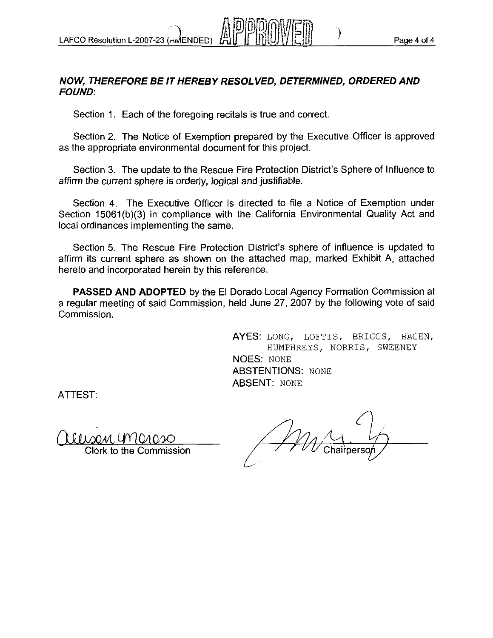#### **NOW, THEREFORE BE IT HEREBY RESOLVED, DETERMINED, ORDERED AND FOUND:**

Section 1. Each of the foregoing recitals is true and correct.

Section 2. The Notice of Exemption prepared by the Executive Ofticer is approved as the appropriate environmental document for this project.

Section 3. The update to the Rescue Fire Protection District's Sphere of Influence to affirm the current sphere is orderly, logical and justifiable.

Section **4.** The Executive Officer is directed to file a Notice of Exemption under Section 15061(b)(3) in compliance with the California Environmental Quality Act and local ordinances implementing the same.

Section 5. The Rescue Fire Protection District's sphere of influence is updated to affirm its current sphere as shown on the attached map, marked Exhibit A, attached hereto and incorporated herein by this reference.

**PASSED AND ADOPTED** by the El Dorado Local Agency Formation Commission at a regular meeting of said Commission, held June 27, 2007 by the following vote of said Commission.

> AYES: LONG, LOFTIS, BRIGGS, HAGEN, HUMPHREYS, NORRIS, SWEENEY NOES: NONE **ABSTENTIONS: NONE** ABSENT: NONE

ATTEST:

llison GMarso

Clerk to the Commission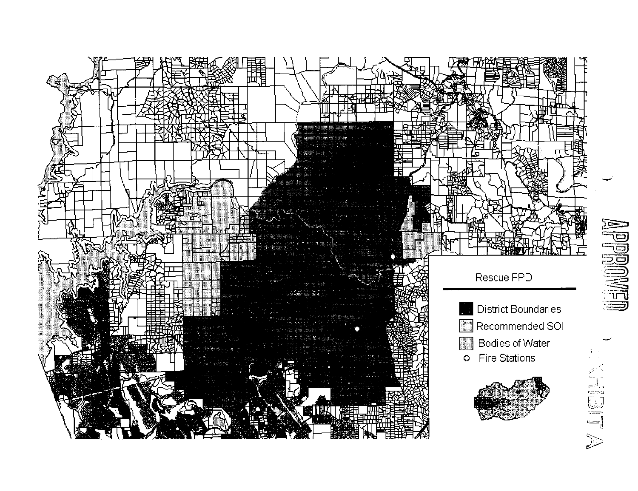